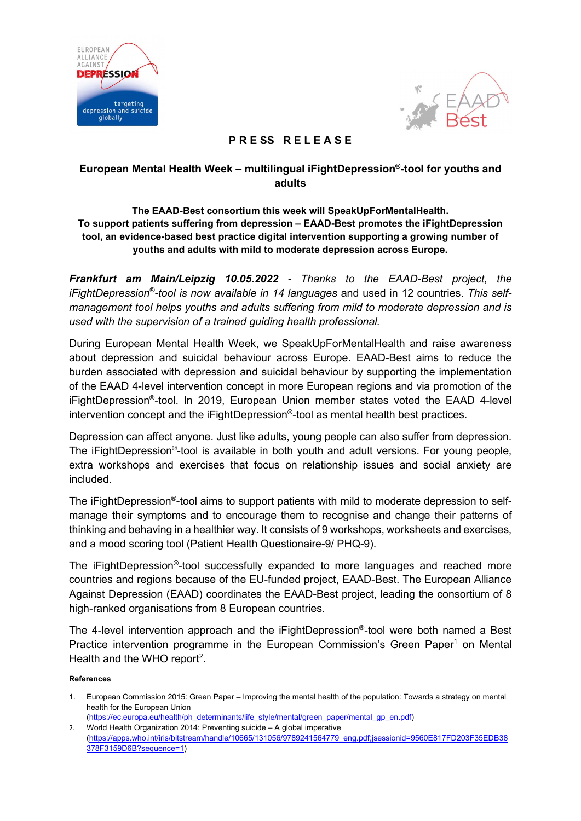



# PRESS RELEASE

# European Mental Health Week – multilingual iFightDepression® -tool for youths and adults

# The EAAD-Best consortium this week will SpeakUpForMentalHealth. To support patients suffering from depression – EAAD-Best promotes the iFightDepression tool, an evidence-based best practice digital intervention supporting a growing number of youths and adults with mild to moderate depression across Europe.

Frankfurt am Main/Leipzig 10.05.2022 - Thanks to the EAAD-Best project, the iFightDepression®-tool is now available in 14 languages and used in 12 countries. This selfmanagement tool helps youths and adults suffering from mild to moderate depression and is used with the supervision of a trained guiding health professional.

During European Mental Health Week, we SpeakUpForMentalHealth and raise awareness about depression and suicidal behaviour across Europe. EAAD-Best aims to reduce the burden associated with depression and suicidal behaviour by supporting the implementation of the EAAD 4-level intervention concept in more European regions and via promotion of the iFightDepression®-tool. In 2019, European Union member states voted the EAAD 4-level intervention concept and the iFightDepression®-tool as mental health best practices.

Depression can affect anyone. Just like adults, young people can also suffer from depression. The iFightDepression®-tool is available in both youth and adult versions. For young people, extra workshops and exercises that focus on relationship issues and social anxiety are included.

The iFightDepression®-tool aims to support patients with mild to moderate depression to selfmanage their symptoms and to encourage them to recognise and change their patterns of thinking and behaving in a healthier way. It consists of 9 workshops, worksheets and exercises, and a mood scoring tool (Patient Health Questionaire-9/ PHQ-9).

The iFightDepression®-tool successfully expanded to more languages and reached more countries and regions because of the EU-funded project, EAAD-Best. The European Alliance Against Depression (EAAD) coordinates the EAAD-Best project, leading the consortium of 8 high-ranked organisations from 8 European countries.

The 4-level intervention approach and the iFightDepression®-tool were both named a Best Practice intervention programme in the European Commission's Green Paper<sup>1</sup> on Mental Health and the WHO report<sup>2</sup>.

#### References

- 1. European Commission 2015: Green Paper Improving the mental health of the population: Towards a strategy on mental health for the European Union (https://ec.europa.eu/health/ph\_determinants/life\_style/mental/green\_paper/mental\_gp\_en.pdf)
- 2. World Health Organization 2014: Preventing suicide A global imperative (https://apps.who.int/iris/bitstream/handle/10665/131056/9789241564779\_eng.pdf;jsessionid=9560E817FD203F35EDB38 378F3159D6B?sequence=1)